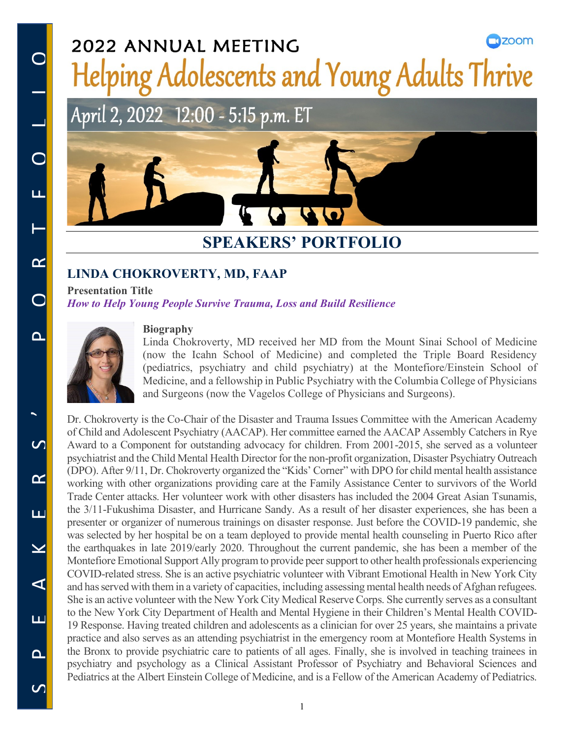## $\square$ 200 $m$ 2022 ANNUAL MEETING **Helping Adolescents and Young Adults Thrive**

# April 2, 2022 12:00 - 5:15 p.m. ET

## **SPEAKERS' PORTFOLIO**

## **LINDA CHOKROVERTY, MD, FAAP**

**Presentation Title** *How to Help Young People Survive Trauma, Loss and Build Resilience*



#### **Biography**

Linda Chokroverty, MD received her MD from the Mount Sinai School of Medicine (now the Icahn School of Medicine) and completed the Triple Board Residency (pediatrics, psychiatry and child psychiatry) at the Montefiore/Einstein School of Medicine, and a fellowship in Public Psychiatry with the Columbia College of Physicians and Surgeons (now the Vagelos College of Physicians and Surgeons).

Dr. Chokroverty is the Co-Chair of the Disaster and Trauma Issues Committee with the American Academy of Child and Adolescent Psychiatry (AACAP). Her committee earned the AACAP Assembly Catchers in Rye Award to a Component for outstanding advocacy for children. From 2001-2015, she served as a volunteer psychiatrist and the Child Mental Health Director for the non-profit organization, Disaster Psychiatry Outreach (DPO). After 9/11, Dr. Chokroverty organized the "Kids' Corner" with DPO for child mental health assistance working with other organizations providing care at the Family Assistance Center to survivors of the World Trade Center attacks. Her volunteer work with other disasters has included the 2004 Great Asian Tsunamis, the 3/11-Fukushima Disaster, and Hurricane Sandy. As a result of her disaster experiences, she has been a presenter or organizer of numerous trainings on disaster response. Just before the COVID-19 pandemic, she was selected by her hospital be on a team deployed to provide mental health counseling in Puerto Rico after the earthquakes in late 2019/early 2020. Throughout the current pandemic, she has been a member of the Montefiore Emotional Support Ally program to provide peer support to other health professionals experiencing COVID-related stress. She is an active psychiatric volunteer with Vibrant Emotional Health in New York City and has served with them in a variety of capacities, including assessing mental health needs of Afghan refugees. She is an active volunteer with the New York City Medical Reserve Corps. She currently serves as a consultant to the New York City Department of Health and Mental Hygiene in their Children's Mental Health COVID-19 Response. Having treated children and adolescents as a clinician for over 25 years, she maintains a private practice and also serves as an attending psychiatrist in the emergency room at Montefiore Health Systems in the Bronx to provide psychiatric care to patients of all ages. Finally, she is involved in teaching trainees in psychiatry and psychology as a Clinical Assistant Professor of Psychiatry and Behavioral Sciences and Pediatrics at the Albert Einstein College of Medicine, and is a Fellow of the American Academy of Pediatrics.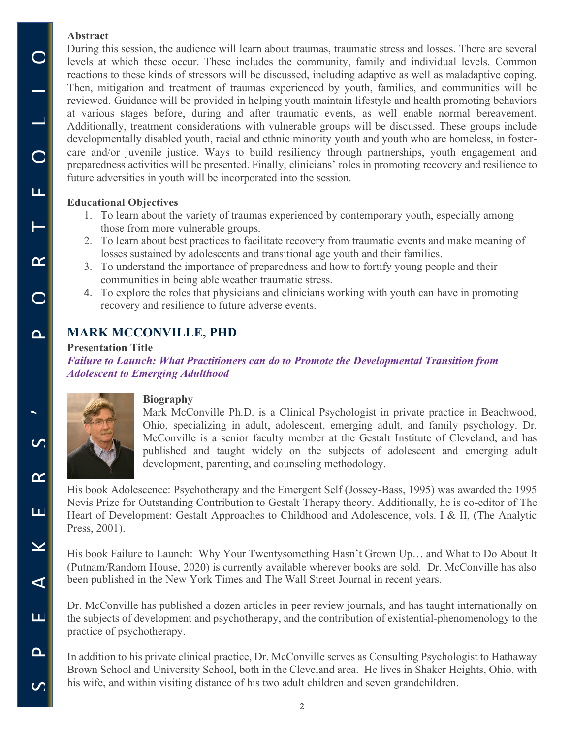### **Abstract**

 $\bigcirc$ 

 $\begin{array}{c|c} 1 & 1 \\ 0 & 1 \end{array}$ 

u,

During this session, the audience will learn about traumas, traumatic stress and losses. There are several levels at which these occur. These includes the community, family and individual levels. Common reactions to these kinds of stressors will be discussed, including adaptive as well as maladaptive coping. Then, mitigation and treatment of traumas experienced by youth, families, and communities will be reviewed. Guidance will be provided in helping youth maintain lifestyle and health promoting behaviors at various stages before, during and after traumatic events, as well enable normal bereavement. Additionally, treatment considerations with vulnerable groups will be discussed. These groups include developmentally disabled youth, racial and ethnic minority youth and youth who are homeless, in fostercare and/or juvenile justice. Ways to build resiliency through partnerships, youth engagement and preparedness activities will be presented. Finally, clinicians' roles in promoting recovery and resilience to future adversities in youth will be incorporated into the session.

## **Educational Objectives**

- 1. To learn about the variety of traumas experienced by contemporary youth, especially among those from more vulnerable groups.
- 2. To learn about best practices to facilitate recovery from traumatic events and make meaning of losses sustained by adolescents and transitional age youth and their families.
- 3. To understand the importance of preparedness and how to fortify young people and their communities in being able weather traumatic stress.
- 4. To explore the roles that physicians and clinicians working with youth can have in promoting recovery and resilience to future adverse events.

## **MARK MCCONVILLE, PHD**

### **Presentation Title**

*Failure to Launch: What Practitioners can do to Promote the Developmental Transition from Adolescent to Emerging Adulthood*



### **Biography**

Mark McConville Ph.D. is a Clinical Psychologist in private practice in Beachwood, Ohio, specializing in adult, adolescent, emerging adult, and family psychology. Dr. McConville is a senior faculty member at the Gestalt Institute of Cleveland, and has published and taught widely on the subjects of adolescent and emerging adult development, parenting, and counseling methodology.

His book Adolescence: Psychotherapy and the Emergent Self (Jossey-Bass, 1995) was awarded the 1995 Nevis Prize for Outstanding Contribution to Gestalt Therapy theory. Additionally, he is co-editor of The Heart of Development: Gestalt Approaches to Childhood and Adolescence, vols. I & II, (The Analytic Press, 2001).

His book Failure to Launch: Why Your Twentysomething Hasn't Grown Up... and What to Do About It (Putnam/Random House, 2020) is currently available wherever books are sold. Dr. McConville has also been published in the New York Times and The Wall Street Journal in recent years.

Dr. McConville has published a dozen articles in peer review journals, and has taught internationally on the subjects of development and psychotherapy, and the contribution of existential-phenomenology to the practice of psychotherapy.

In addition to his private clinical practice, Dr. McConville serves as Consulting Psychologist to Hathaway Brown School and University School, both in the Cleveland area. He lives in Shaker Heights, Ohio, with his wife, and within visiting distance of his two adult children and seven grandchildren.

 $\Omega$ 

 $\mathcal{C}$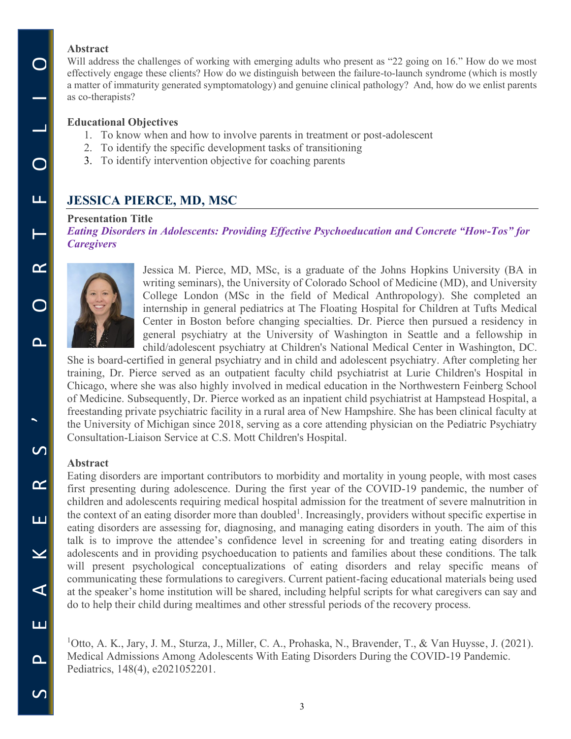#### **Abstract**

Will address the challenges of working with emerging adults who present as "22 going on 16." How do we most effectively engage these clients? How do we distinguish between the failure-to-launch syndrome (which is mostly a matter of immaturity generated symptomatology) and genuine clinical pathology? And, how do we enlist parents as co-therapists?

#### **Educational Objectives**

- 1. To know when and how to involve parents in treatment or post-adolescent
- 2. To identify the specific development tasks of transitioning
- 3. To identify intervention objective for coaching parents

## **JESSICA PIERCE, MD, MSC**

#### **Presentation Title**

*Eating Disorders in Adolescents: Providing Effective Psychoeducation and Concrete "How-Tos" for Caregivers*



Jessica M. Pierce, MD, MSc, is a graduate of the Johns Hopkins University (BA in writing seminars), the University of Colorado School of Medicine (MD), and University College London (MSc in the field of Medical Anthropology). She completed an internship in general pediatrics at The Floating Hospital for Children at Tufts Medical Center in Boston before changing specialties. Dr. Pierce then pursued a residency in general psychiatry at the University of Washington in Seattle and a fellowship in child/adolescent psychiatry at Children's National Medical Center in Washington, DC.

She is board-certified in general psychiatry and in child and adolescent psychiatry. After completing her training, Dr. Pierce served as an outpatient faculty child psychiatrist at Lurie Children's Hospital in Chicago, where she was also highly involved in medical education in the Northwestern Feinberg School of Medicine. Subsequently, Dr. Pierce worked as an inpatient child psychiatrist at Hampstead Hospital, a freestanding private psychiatric facility in a rural area of New Hampshire. She has been clinical faculty at the University of Michigan since 2018, serving as a core attending physician on the Pediatric Psychiatry Consultation-Liaison Service at C.S. Mott Children's Hospital.

#### **Abstract**

Eating disorders are important contributors to morbidity and mortality in young people, with most cases first presenting during adolescence. During the first year of the COVID-19 pandemic, the number of children and adolescents requiring medical hospital admission for the treatment of severe malnutrition in the context of an eating disorder more than doubled<sup>1</sup>. Increasingly, providers without specific expertise in eating disorders are assessing for, diagnosing, and managing eating disorders in youth. The aim of this talk is to improve the attendee's confidence level in screening for and treating eating disorders in adolescents and in providing psychoeducation to patients and families about these conditions. The talk will present psychological conceptualizations of eating disorders and relay specific means of communicating these formulations to caregivers. Current patient-facing educational materials being used at the speaker's home institution will be shared, including helpful scripts for what caregivers can say and do to help their child during mealtimes and other stressful periods of the recovery process.

<sup>1</sup>Otto, A. K., Jary, J. M., Sturza, J., Miller, C. A., Prohaska, N., Bravender, T., & Van Huysse, J. (2021). Medical Admissions Among Adolescents With Eating Disorders During the COVID-19 Pandemic. Pediatrics, 148(4), e2021052201.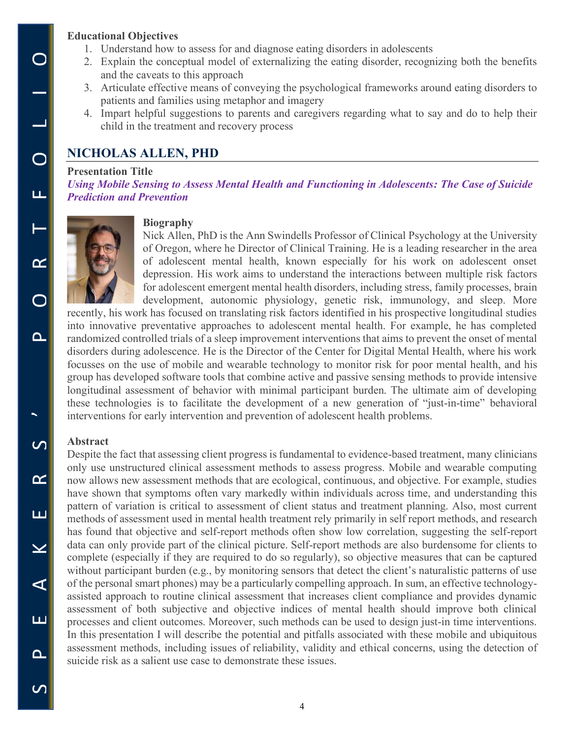#### **Educational Objectives**

- 1. Understand how to assess for and diagnose eating disorders in adolescents
- 2. Explain the conceptual model of externalizing the eating disorder, recognizing both the benefits and the caveats to this approach
- 3. Articulate effective means of conveying the psychological frameworks around eating disorders to patients and families using metaphor and imagery
- 4. Impart helpful suggestions to parents and caregivers regarding what to say and do to help their child in the treatment and recovery process

## **NICHOLAS ALLEN, PHD**

#### **Presentation Title**

*Using Mobile Sensing to Assess Mental Health and Functioning in Adolescents: The Case of Suicide Prediction and Prevention*



#### **Biography**

Nick Allen, PhD is the Ann Swindells Professor of Clinical Psychology at the University of Oregon, where he Director of Clinical Training. He is a leading researcher in the area of adolescent mental health, known especially for his work on adolescent onset depression. His work aims to understand the interactions between multiple risk factors for adolescent emergent mental health disorders, including stress, family processes, brain development, autonomic physiology, genetic risk, immunology, and sleep. More

recently, his work has focused on translating risk factors identified in his prospective longitudinal studies into innovative preventative approaches to adolescent mental health. For example, he has completed randomized controlled trials of a sleep improvement interventions that aims to prevent the onset of mental disorders during adolescence. He is the Director of the Center for Digital Mental Health, where his work focusses on the use of mobile and wearable technology to monitor risk for poor mental health, and his group has developed software tools that combine active and passive sensing methods to provide intensive longitudinal assessment of behavior with minimal participant burden. The ultimate aim of developing these technologies is to facilitate the development of a new generation of "just-in-time" behavioral interventions for early intervention and prevention of adolescent health problems.

### **Abstract**

Despite the fact that assessing client progress is fundamental to evidence-based treatment, many clinicians only use unstructured clinical assessment methods to assess progress. Mobile and wearable computing now allows new assessment methods that are ecological, continuous, and objective. For example, studies have shown that symptoms often vary markedly within individuals across time, and understanding this pattern of variation is critical to assessment of client status and treatment planning. Also, most current methods of assessment used in mental health treatment rely primarily in self report methods, and research has found that objective and self-report methods often show low correlation, suggesting the self-report data can only provide part of the clinical picture. Self-report methods are also burdensome for clients to complete (especially if they are required to do so regularly), so objective measures that can be captured without participant burden (e.g., by monitoring sensors that detect the client's naturalistic patterns of use of the personal smart phones) may be a particularly compelling approach. In sum, an effective technologyassisted approach to routine clinical assessment that increases client compliance and provides dynamic assessment of both subjective and objective indices of mental health should improve both clinical processes and client outcomes. Moreover, such methods can be used to design just-in time interventions. In this presentation I will describe the potential and pitfalls associated with these mobile and ubiquitous assessment methods, including issues of reliability, validity and ethical concerns, using the detection of suicide risk as a salient use case to demonstrate these issues.

 $\blacktriangleright$ 

 $\overline{\mathcal{C}}$ 

 $\alpha$ 

ш

 $\geq$ 

 $\blacktriangleleft$ 

ш

 $\mathbf{a}$